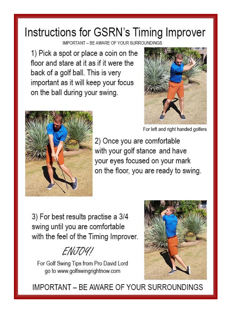## Instructions for GSRN's Timing Improver

IMPORTANT - BE AWARE OF YOUR SURROUNDINGS

1) Pick a spot or place a coin on the floor and stare at it as if it were the back of a golf ball. This is very important as it will keep your focus on the ball during your swing.



For left and right handed golfers



2) Once you are comfortable with your golf stance and have your eyes focused on your mark on the floor, you are ready to swing.

3) For best results practise a 3/4 swing until you are comfortable with the feel of the Timing Improver.

ENJO41

For Golf Swing Tips from Pro David Lord go to www.golfswingrightnow.com



IMPORTANT - BE AWARE OF YOUR SURROUNDINGS